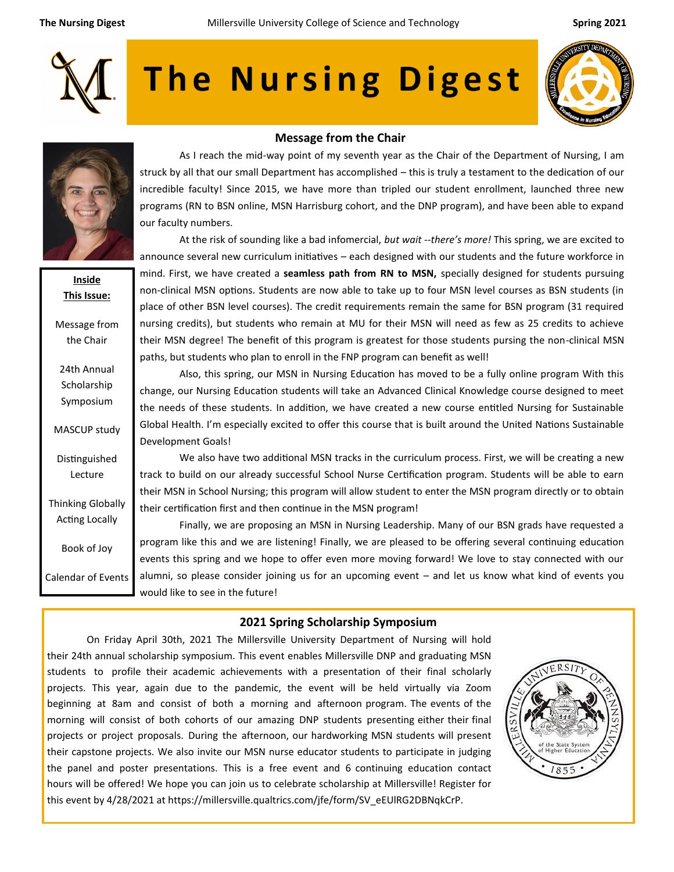

# The Nursing Digest





**Inside This Issue:**

Message from the Chair

24th Annual Scholarship Symposium

MASCUP study

Distinguished Lecture

Thinking Globally Acting Locally

Book of Joy

Calendar of Events

#### **Message from the Chair**

As I reach the mid-way point of my seventh year as the Chair of the Department of Nursing, I am struck by all that our small Department has accomplished – this is truly a testament to the dedication of our incredible faculty! Since 2015, we have more than tripled our student enrollment, launched three new programs (RN to BSN online, MSN Harrisburg cohort, and the DNP program), and have been able to expand our faculty numbers.

At the risk of sounding like a bad infomercial, *but wait --there's more!* This spring, we are excited to announce several new curriculum initiatives – each designed with our students and the future workforce in mind. First, we have created a **seamless path from RN to MSN,** specially designed for students pursuing non-clinical MSN options. Students are now able to take up to four MSN level courses as BSN students (in place of other BSN level courses). The credit requirements remain the same for BSN program (31 required nursing credits), but students who remain at MU for their MSN will need as few as 25 credits to achieve their MSN degree! The benefit of this program is greatest for those students pursing the non-clinical MSN paths, but students who plan to enroll in the FNP program can benefit as well!

Also, this spring, our MSN in Nursing Education has moved to be a fully online program With this change, our Nursing Education students will take an Advanced Clinical Knowledge course designed to meet the needs of these students. In addition, we have created a new course entitled Nursing for Sustainable Global Health. I'm especially excited to offer this course that is built around the United Nations Sustainable Development Goals!

We also have two additional MSN tracks in the curriculum process. First, we will be creating a new track to build on our already successful School Nurse Certification program. Students will be able to earn their MSN in School Nursing; this program will allow student to enter the MSN program directly or to obtain their certification first and then continue in the MSN program!

Finally, we are proposing an MSN in Nursing Leadership. Many of our BSN grads have requested a program like this and we are listening! Finally, we are pleased to be offering several continuing education events this spring and we hope to offer even more moving forward! We love to stay connected with our alumni, so please consider joining us for an upcoming event – and let us know what kind of events you would like to see in the future!

### **2021 Spring Scholarship Symposium**

On Friday April 30th, 2021 The Millersville University Department of Nursing will hold their 24th annual scholarship symposium. This event enables Millersville DNP and graduating MSN students to profile their academic achievements with a presentation of their final scholarly projects. This year, again due to the pandemic, the event will be held virtually via Zoom beginning at 8am and consist of both a morning and afternoon program. The events of the morning will consist of both cohorts of our amazing DNP students presenting either their final projects or project proposals. During the afternoon, our hardworking MSN students will present their capstone projects. We also invite our MSN nurse educator students to participate in judging the panel and poster presentations. This is a free event and 6 continuing education contact hours will be offered! We hope you can join us to celebrate scholarship at Millersville! Register for this event by 4/28/2021 at https://millersville.qualtrics.com/jfe/form/SV\_eEUlRG2DBNqkCrP.

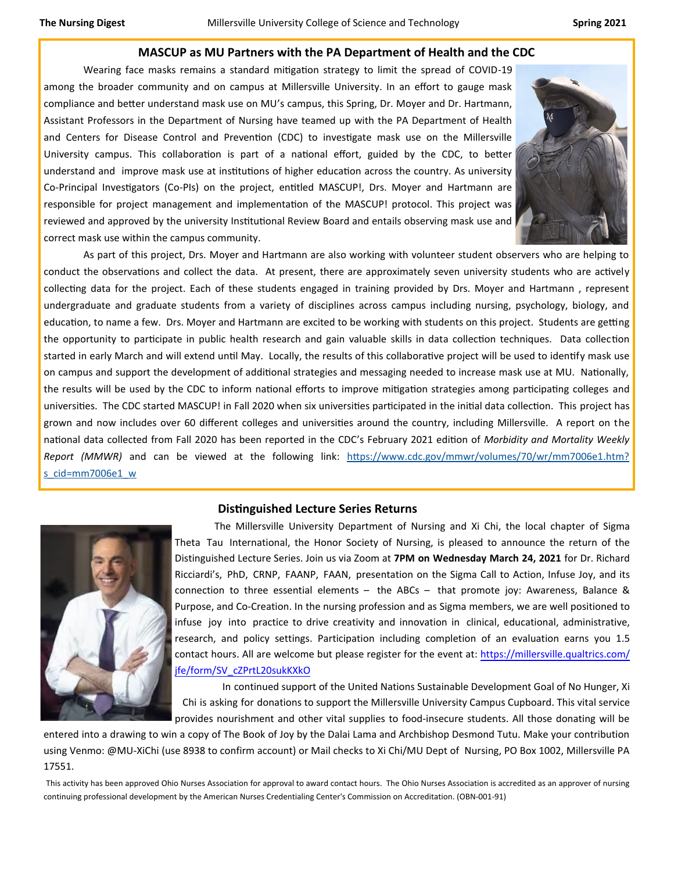#### **MASCUP as MU Partners with the PA Department of Health and the CDC**

Wearing face masks remains a standard mitigation strategy to limit the spread of COVID-19 among the broader community and on campus at Millersville University. In an effort to gauge mask compliance and better understand mask use on MU's campus, this Spring, Dr. Moyer and Dr. Hartmann, Assistant Professors in the Department of Nursing have teamed up with the PA Department of Health and Centers for Disease Control and Prevention (CDC) to investigate mask use on the Millersville University campus. This collaboration is part of a national effort, guided by the CDC, to better understand and improve mask use at institutions of higher education across the country. As university Co-Principal Investigators (Co-PIs) on the project, entitled MASCUP!, Drs. Moyer and Hartmann are responsible for project management and implementation of the MASCUP! protocol. This project was reviewed and approved by the university Institutional Review Board and entails observing mask use and correct mask use within the campus community.



As part of this project, Drs. Moyer and Hartmann are also working with volunteer student observers who are helping to conduct the observations and collect the data. At present, there are approximately seven university students who are actively collecting data for the project. Each of these students engaged in training provided by Drs. Moyer and Hartmann , represent undergraduate and graduate students from a variety of disciplines across campus including nursing, psychology, biology, and education, to name a few. Drs. Moyer and Hartmann are excited to be working with students on this project. Students are getting the opportunity to participate in public health research and gain valuable skills in data collection techniques. Data collection started in early March and will extend until May. Locally, the results of this collaborative project will be used to identify mask use on campus and support the development of additional strategies and messaging needed to increase mask use at MU. Nationally, the results will be used by the CDC to inform national efforts to improve mitigation strategies among participating colleges and universities. The CDC started MASCUP! in Fall 2020 when six universities participated in the initial data collection. This project has grown and now includes over 60 different colleges and universities around the country, including Millersville. A report on the national data collected from Fall 2020 has been reported in the CDC's February 2021 edition of *Morbidity and Mortality Weekly Report (MMWR)* and can be viewed at the following link: [https://www.cdc.gov/mmwr/volumes/70/wr/mm7006e1.htm?](https://www.cdc.gov/mmwr/volumes/70/wr/mm7006e1.htm?s_cid=mm7006e1_w) [s\\_cid=mm7006e1\\_w](https://www.cdc.gov/mmwr/volumes/70/wr/mm7006e1.htm?s_cid=mm7006e1_w)

#### **Distinguished Lecture Series Returns**



The Millersville University Department of Nursing and Xi Chi, the local chapter of Sigma Theta Tau International, the Honor Society of Nursing, is pleased to announce the return of the Distinguished Lecture Series. Join us via Zoom at **7PM on Wednesday March 24, 2021** for Dr. Richard Ricciardi's, PhD, CRNP, FAANP, FAAN, presentation on the Sigma Call to Action, Infuse Joy, and its connection to three essential elements – the ABCs – that promote joy: Awareness, Balance & Purpose, and Co‐Creation. In the nursing profession and as Sigma members, we are well positioned to infuse joy into practice to drive creativity and innovation in clinical, educational, administrative, research, and policy settings. Participation including completion of an evaluation earns you 1.5 c[ontact hours. All are welcome but please register for the event at: https://millersville.qualtrics.com/](https://millersville.qualtrics.com/jfe/form/SV_cZPrtL20sukKXkO) jfe/form/SV\_cZPrtL20sukKXkO

In continued support of the United Nations Sustainable Development Goal of No Hunger, Xi Chi is asking for donations to support the Millersville University Campus Cupboard. This vital service provides nourishment and other vital supplies to food‐insecure students. All those donating will be

entered into a drawing to win a copy of The Book of Joy by the Dalai Lama and Archbishop Desmond Tutu. Make your contribution using Venmo: @MU‐XiChi (use 8938 to confirm account) or Mail checks to Xi Chi/MU Dept of Nursing, PO Box 1002, Millersville PA 17551.

This activity has been approved Ohio Nurses Association for approval to award contact hours. The Ohio Nurses Association is accredited as an approver of nursing continuing professional development by the American Nurses Credentialing Center's Commission on Accreditation. (OBN‐001‐91)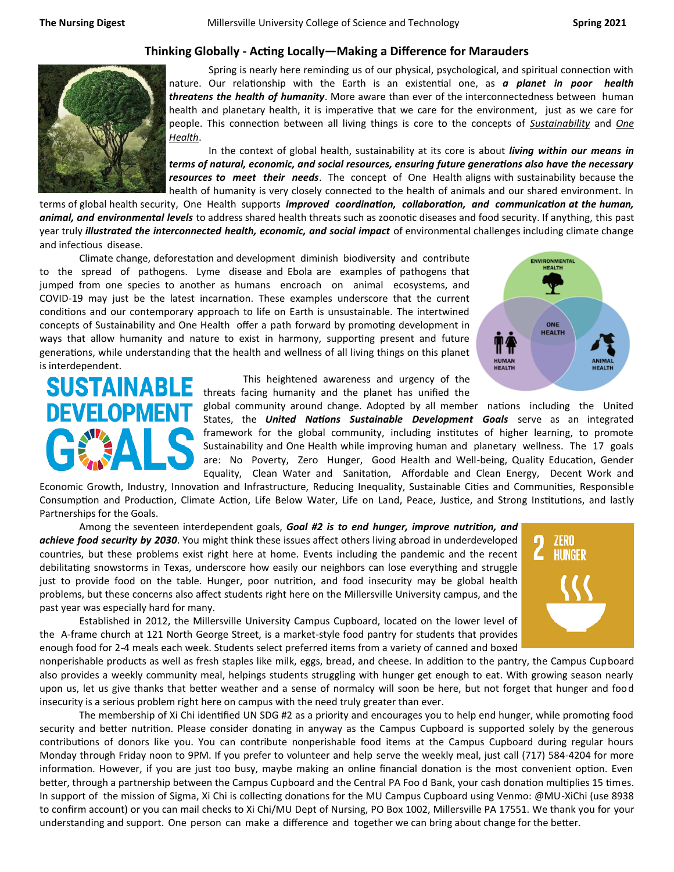## **Thinking Globally - Acting Locally—Making a Difference for Marauders**



Spring is nearly here reminding us of our physical, psychological, and spiritual connection with nature. Our relationship with the Earth is an existential one, as *a planet in poor health threatens the health of humanity*. More aware than ever of the interconnectedness between human health and planetary health, it is imperative that we care for the environment, just as we care for people. This connection between all living things is core to the concepts of *Sustainability* and *One Health*.

In the context of global health, sustainability at its core is about *living within our means in terms of natural, economic, and social resources, ensuring future generations also have the necessary resources to meet their needs*. The concept of One Health aligns with sustainability because the health of humanity is very closely connected to the health of animals and our shared environment. In

terms of global health security, One Health supports *improved coordination, collaboration, and communication at the human, animal, and environmental levels* to address shared health threats such as zoonotic diseases and food security. If anything, this past year truly *illustrated the interconnected health, economic, and social impact* of environmental challenges including climate change and infectious disease.

Climate change, deforestation and development diminish biodiversity and contribute to the spread of pathogens. Lyme disease and Ebola are examples of pathogens that jumped from one species to another as humans encroach on animal ecosystems, and COVID-19 may just be the latest incarnation. These examples underscore that the current conditions and our contemporary approach to life on Earth is unsustainable. The intertwined concepts of Sustainability and One Health offer a path forward by promoting development in ways that allow humanity and nature to exist in harmony, supporting present and future generations, while understanding that the health and wellness of all living things on this planet is interdependent.





This heightened awareness and urgency of the threats facing humanity and the planet has unified the

global community around change. Adopted by all member nations including the United States, the *United Nations Sustainable Development Goals* serve as an integrated framework for the global community, including institutes of higher learning, to promote Sustainability and One Health while improving human and planetary wellness. The 17 goals are: No Poverty, Zero Hunger, Good Health and Well-being, Quality Education, Gender Equality, Clean Water and Sanitation, Affordable and Clean Energy, Decent Work and

Economic Growth, Industry, Innovation and Infrastructure, Reducing Inequality, Sustainable Cities and Communities, Responsible Consumption and Production, Climate Action, Life Below Water, Life on Land, Peace, Justice, and Strong Institutions, and lastly Partnerships for the Goals.

Among the seventeen interdependent goals, *Goal #2 is to end hunger, improve nutrition, and achieve food security by 2030*. You might think these issues affect others living abroad in underdeveloped countries, but these problems exist right here at home. Events including the pandemic and the recent debilitating snowstorms in Texas, underscore how easily our neighbors can lose everything and struggle just to provide food on the table. Hunger, poor nutrition, and food insecurity may be global health problems, but these concerns also affect students right here on the Millersville University campus, and the past year was especially hard for many.

Established in 2012, the Millersville University Campus Cupboard, located on the lower level of the A-frame church at 121 North George Street, is a market-style food pantry for students that provides enough food for 2-4 meals each week. Students select preferred items from a variety of canned and boxed

nonperishable products as well as fresh staples like milk, eggs, bread, and cheese. In addition to the pantry, the Campus Cupboard also provides a weekly community meal, helpings students struggling with hunger get enough to eat. With growing season nearly upon us, let us give thanks that better weather and a sense of normalcy will soon be here, but not forget that hunger and food insecurity is a serious problem right here on campus with the need truly greater than ever.

The membership of Xi Chi identified UN SDG #2 as a priority and encourages you to help end hunger, while promoting food security and better nutrition. Please consider donating in anyway as the Campus Cupboard is supported solely by the generous contributions of donors like you. You can contribute nonperishable food items at the Campus Cupboard during regular hours Monday through Friday noon to 9PM. If you prefer to volunteer and help serve the weekly meal, just call (717) 584-4204 for more information. However, if you are just too busy, maybe making an online financial donation is the most convenient option. Even better, through a partnership between the Campus Cupboard and the Central PA Foo d Bank, your cash donation multiplies 15 times. In support of the mission of Sigma, Xi Chi is collecting donations for the MU Campus Cupboard using Venmo: @MU‐XiChi (use 8938 to confirm account) or you can mail checks to Xi Chi/MU Dept of Nursing, PO Box 1002, Millersville PA 17551. We thank you for your understanding and support. One person can make a difference and together we can bring about change for the better.

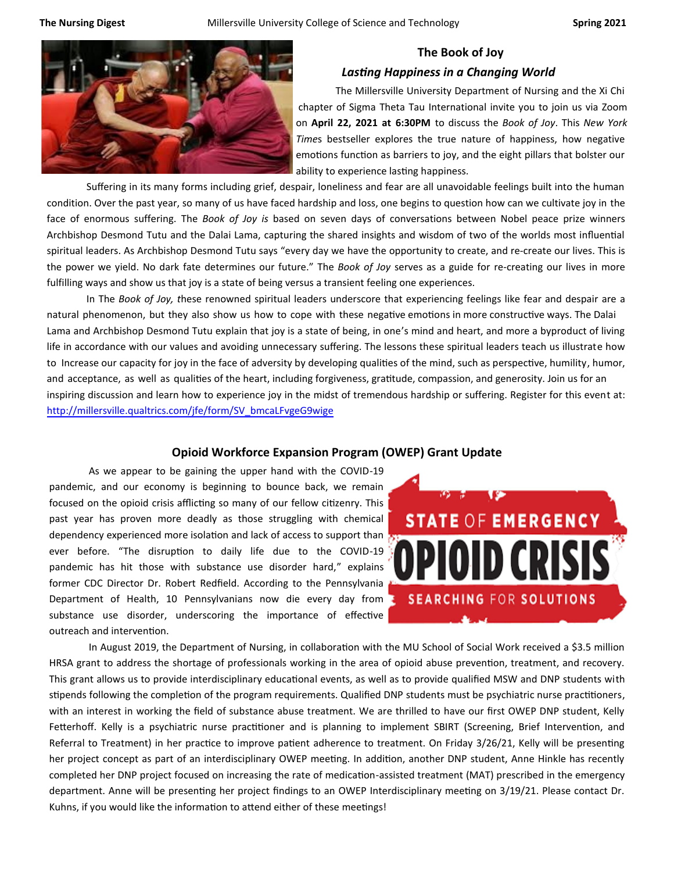

## **The Book of Joy**

#### *Lasting Happiness in a Changing World*

The Millersville University Department of Nursing and the Xi Chi chapter of Sigma Theta Tau International invite you to join us via Zoom on **April 22, 2021 at 6:30PM** to discuss the *Book of Joy*. This *New York Time*s bestseller explores the true nature of happiness, how negative emotions function as barriers to joy, and the eight pillars that bolster our ability to experience lasting happiness.

Suffering in its many forms including grief, despair, loneliness and fear are all unavoidable feelings built into the human condition. Over the past year, so many of us have faced hardship and loss, one begins to question how can we cultivate joy in the face of enormous suffering. The *Book of Joy is* based on seven days of conversations between Nobel peace prize winners Archbishop Desmond Tutu and the Dalai Lama, capturing the shared insights and wisdom of two of the worlds most influential spiritual leaders. As Archbishop Desmond Tutu says "every day we have the opportunity to create, and re-create our lives. This is the power we yield. No dark fate determines our future." The *Book of Joy* serves as a guide for re-creating our lives in more fulfilling ways and show us that joy is a state of being versus a transient feeling one experiences.

In The *Book of Joy, t*hese renowned spiritual leaders underscore that experiencing feelings like fear and despair are a natural phenomenon, but they also show us how to cope with these negative emotions in more constructive ways. The Dalai Lama and Archbishop Desmond Tutu explain that joy is a state of being, in one's mind and heart, and more a byproduct of living life in accordance with our values and avoiding unnecessary suffering. The lessons these spiritual leaders teach us illustrate how to Increase our capacity for joy in the face of adversity by developing qualities of the mind, such as perspective, humility, humor, and acceptance, as well as qualities of the heart, including forgiveness, gratitude, compassion, and generosity. Join us for an inspiring discussion and learn how to experience joy in the midst of tremendous hardship or suffering. Register for this event at: [http://millersville.qualtrics.com/jfe/form/SV\\_bmcaLFvgeG9wige](https://millersville.qualtrics.com/jfe/form/SV_bmcaLFvgeG9wige)

#### **Opioid Workforce Expansion Program (OWEP) Grant Update**

As we appear to be gaining the upper hand with the COVID-19 pandemic, and our economy is beginning to bounce back, we remain focused on the opioid crisis afflicting so many of our fellow citizenry. This past year has proven more deadly as those struggling with chemical dependency experienced more isolation and lack of access to support than ever before. "The disruption to daily life due to the COVID-19 pandemic has hit those with substance use disorder hard," explains former CDC Director Dr. Robert Redfield. According to the Pennsylvania Department of Health, 10 Pennsylvanians now die every day from substance use disorder, underscoring the importance of effective outreach and intervention.



In August 2019, the Department of Nursing, in collaboration with the MU School of Social Work received a \$3.5 million HRSA grant to address the shortage of professionals working in the area of opioid abuse prevention, treatment, and recovery. This grant allows us to provide interdisciplinary educational events, as well as to provide qualified MSW and DNP students with stipends following the completion of the program requirements. Qualified DNP students must be psychiatric nurse practitioners, with an interest in working the field of substance abuse treatment. We are thrilled to have our first OWEP DNP student, Kelly Fetterhoff. Kelly is a psychiatric nurse practitioner and is planning to implement SBIRT (Screening, Brief Intervention, and Referral to Treatment) in her practice to improve patient adherence to treatment. On Friday 3/26/21, Kelly will be presenting her project concept as part of an interdisciplinary OWEP meeting. In addition, another DNP student, Anne Hinkle has recently completed her DNP project focused on increasing the rate of medication-assisted treatment (MAT) prescribed in the emergency department. Anne will be presenting her project findings to an OWEP Interdisciplinary meeting on 3/19/21. Please contact Dr. Kuhns, if you would like the information to attend either of these meetings!